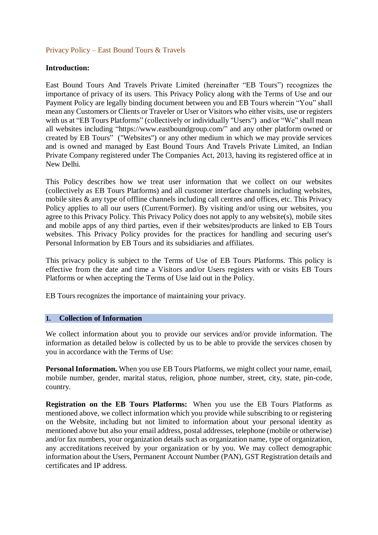## Privacy Policy – East Bound Tours & Travels

#### **Introduction:**

East Bound Tours And Travels Private Limited (hereinafter "EB Tours") recognizes the importance of privacy of its users. This Privacy Policy along with the Terms of Use and our Payment Policy are legally binding document between you and EB Tours wherein "You" shall mean any Customers or Clients or Traveler or User or Visitors who either visits, use or registers with us at "EB Tours Platforms" (collectively or individually "Users") and/or "We" shall mean all websites including "https://www.eastboundgroup.com/" and any other platform owned or created by EB Tours" ("Websites") or any other medium in which we may provide services and is owned and managed by East Bound Tours And Travels Private Limited, an Indian Private Company registered under The Companies Act, 2013, having its registered office at in New Delhi.

This Policy describes how we treat user information that we collect on our websites (collectively as EB Tours Platforms) and all customer interface channels including websites, mobile sites & any type of offline channels including call centres and offices, etc. This Privacy Policy applies to all our users (Current/Former). By visiting and/or using our websites, you agree to this Privacy Policy. This Privacy Policy does not apply to any website(s), mobile sites and mobile apps of any third parties, even if their websites/products are linked to EB Tours websites. This Privacy Policy provides for the practices for handling and securing user's Personal Information by EB Tours and its subsidiaries and affiliates.

This privacy policy is subject to the Terms of Use of EB Tours Platforms. This policy is effective from the date and time a Visitors and/or Users registers with or visits EB Tours Platforms or when accepting the Terms of Use laid out in the Policy.

EB Tours recognizes the importance of maintaining your privacy.

#### **1. Collection of Information**

We collect information about you to provide our services and/or provide information. The information as detailed below is collected by us to be able to provide the services chosen by you in accordance with the Terms of Use:

**Personal Information.** When you use EB Tours Platforms, we might collect your name, email, mobile number, gender, marital status, religion, phone number, street, city, state, pin-code, country.

**Registration on the EB Tours Platforms:** When you use the EB Tours Platforms as mentioned above, we collect information which you provide while subscribing to or registering on the Website, including but not limited to information about your personal identity as mentioned above but also your email address, postal addresses, telephone (mobile or otherwise) and/or fax numbers, your organization details such as organization name, type of organization, any accreditations received by your organization or by you. We may collect demographic information about the Users, Permanent Account Number (PAN), GST Registration details and certificates and IP address.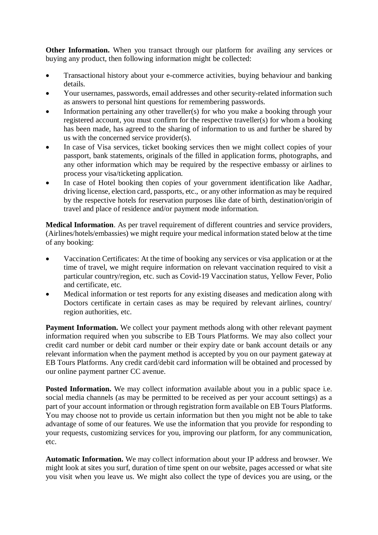**Other Information.** When you transact through our platform for availing any services or buying any product, then following information might be collected:

- Transactional history about your e-commerce activities, buying behaviour and banking details.
- Your usernames, passwords, email addresses and other security-related information such as answers to personal hint questions for remembering passwords.
- Information pertaining any other traveller(s) for who you make a booking through your registered account, you must confirm for the respective traveller(s) for whom a booking has been made, has agreed to the sharing of information to us and further be shared by us with the concerned service provider(s).
- In case of Visa services, ticket booking services then we might collect copies of your passport, bank statements, originals of the filled in application forms, photographs, and any other information which may be required by the respective embassy or airlines to process your visa/ticketing application.
- In case of Hotel booking then copies of your government identification like Aadhar, driving license, election card, passports, etc., or any other information as may be required by the respective hotels for reservation purposes like date of birth, destination/origin of travel and place of residence and/or payment mode information.

**Medical Information**. As per travel requirement of different countries and service providers, (Airlines/hotels/embassies) we might require your medical information stated below at the time of any booking:

- Vaccination Certificates: At the time of booking any services or visa application or at the time of travel, we might require information on relevant vaccination required to visit a particular country/region, etc. such as Covid-19 Vaccination status, Yellow Fever, Polio and certificate, etc.
- Medical information or test reports for any existing diseases and medication along with Doctors certificate in certain cases as may be required by relevant airlines, country/ region authorities, etc.

**Payment Information.** We collect your payment methods along with other relevant payment information required when you subscribe to EB Tours Platforms. We may also collect your credit card number or debit card number or their expiry date or bank account details or any relevant information when the payment method is accepted by you on our payment gateway at EB Tours Platforms. Any credit card/debit card information will be obtained and processed by our online payment partner CC avenue.

Posted Information. We may collect information available about you in a public space i.e. social media channels (as may be permitted to be received as per your account settings) as a part of your account information or through registration form available on EB Tours Platforms. You may choose not to provide us certain information but then you might not be able to take advantage of some of our features. We use the information that you provide for responding to your requests, customizing services for you, improving our platform, for any communication, etc.

**Automatic Information.** We may collect information about your IP address and browser. We might look at sites you surf, duration of time spent on our website, pages accessed or what site you visit when you leave us. We might also collect the type of devices you are using, or the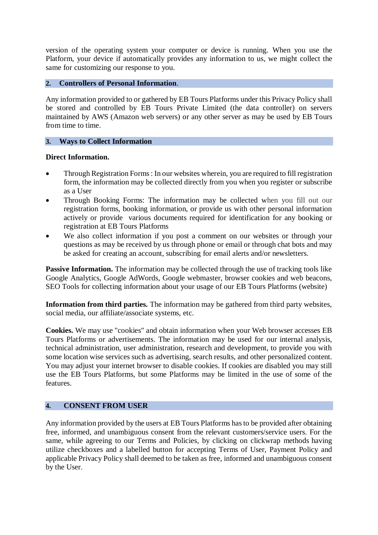version of the operating system your computer or device is running. When you use the Platform, your device if automatically provides any information to us, we might collect the same for customizing our response to you.

# **2. Controllers of Personal Information**.

Any information provided to or gathered by EB Tours Platforms under this Privacy Policy shall be stored and controlled by EB Tours Private Limited (the data controller) on servers maintained by AWS (Amazon web servers) or any other server as may be used by EB Tours from time to time.

# **3. Ways to Collect Information**

# **Direct Information.**

- Through Registration Forms : In our websites wherein, you are required to fill registration form, the information may be collected directly from you when you register or subscribe as a User
- Through Booking Forms: The information may be collected when you fill out our registration forms, booking information, or provide us with other personal information actively or provide various documents required for identification for any booking or registration at EB Tours Platforms
- We also collect information if you post a comment on our websites or through your questions as may be received by us through phone or email or through chat bots and may be asked for creating an account, subscribing for email alerts and/or newsletters.

**Passive Information.** The information may be collected through the use of tracking tools like Google Analytics, Google AdWords, Google webmaster, browser cookies and web beacons, SEO Tools for collecting information about your usage of our EB Tours Platforms (website)

**Information from third parties.** The information may be gathered from third party websites, social media, our affiliate/associate systems, etc.

**Cookies.** We may use "cookies" and obtain information when your Web browser accesses EB Tours Platforms or advertisements. The information may be used for our internal analysis, technical administration, user administration, research and development, to provide you with some location wise services such as advertising, search results, and other personalized content. You may adjust your internet browser to disable cookies. If cookies are disabled you may still use the EB Tours Platforms, but some Platforms may be limited in the use of some of the features.

# **4. CONSENT FROM USER**

Any information provided by the users at EB Tours Platforms has to be provided after obtaining free, informed, and unambiguous consent from the relevant customers/service users. For the same, while agreeing to our Terms and Policies, by clicking on clickwrap methods having utilize checkboxes and a labelled button for accepting Terms of User, Payment Policy and applicable Privacy Policy shall deemed to be taken as free, informed and unambiguous consent by the User.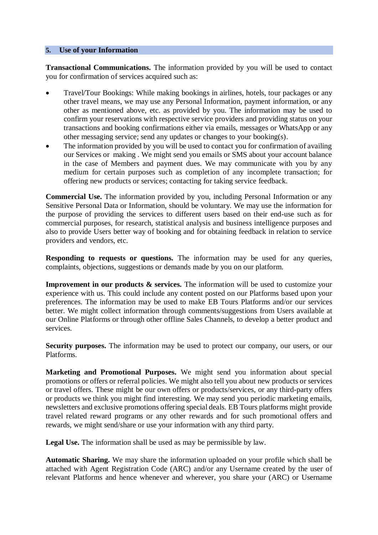#### **5. Use of your Information**

**Transactional Communications.** The information provided by you will be used to contact you for confirmation of services acquired such as:

- Travel/Tour Bookings: While making bookings in airlines, hotels, tour packages or any other travel means, we may use any Personal Information, payment information, or any other as mentioned above, etc. as provided by you. The information may be used to confirm your reservations with respective service providers and providing status on your transactions and booking confirmations either via emails, messages or WhatsApp or any other messaging service; send any updates or changes to your booking(s).
- The information provided by you will be used to contact you for confirmation of availing our Services or making . We might send you emails or SMS about your account balance in the case of Members and payment dues. We may communicate with you by any medium for certain purposes such as completion of any incomplete transaction; for offering new products or services; contacting for taking service feedback.

**Commercial Use.** The information provided by you, including Personal Information or any Sensitive Personal Data or Information, should be voluntary. We may use the information for the purpose of providing the services to different users based on their end-use such as for commercial purposes, for research, statistical analysis and business intelligence purposes and also to provide Users better way of booking and for obtaining feedback in relation to service providers and vendors, etc.

**Responding to requests or questions.** The information may be used for any queries, complaints, objections, suggestions or demands made by you on our platform.

**Improvement in our products & services.** The information will be used to customize your experience with us. This could include any content posted on our Platforms based upon your preferences. The information may be used to make EB Tours Platforms and/or our services better. We might collect information through comments/suggestions from Users available at our Online Platforms or through other offline Sales Channels, to develop a better product and services.

**Security purposes.** The information may be used to protect our company, our users, or our Platforms.

**Marketing and Promotional Purposes.** We might send you information about special promotions or offers or referral policies. We might also tell you about new products or services or travel offers. These might be our own offers or products/services, or any third-party offers or products we think you might find interesting. We may send you periodic marketing emails, newsletters and exclusive promotions offering special deals. EB Tours platforms might provide travel related reward programs or any other rewards and for such promotional offers and rewards, we might send/share or use your information with any third party.

**Legal Use.** The information shall be used as may be permissible by law.

**Automatic Sharing.** We may share the information uploaded on your profile which shall be attached with Agent Registration Code (ARC) and/or any Username created by the user of relevant Platforms and hence whenever and wherever, you share your (ARC) or Username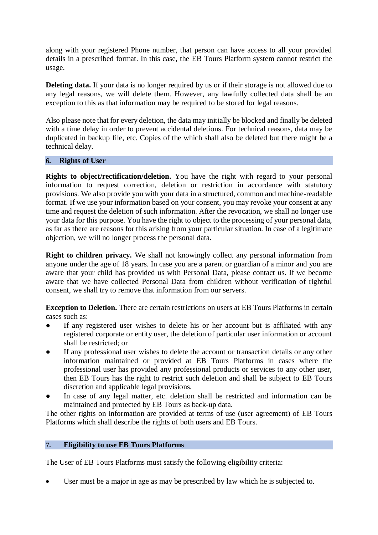along with your registered Phone number, that person can have access to all your provided details in a prescribed format. In this case, the EB Tours Platform system cannot restrict the usage.

**Deleting data.** If your data is no longer required by us or if their storage is not allowed due to any legal reasons, we will delete them. However, any lawfully collected data shall be an exception to this as that information may be required to be stored for legal reasons.

Also please note that for every deletion, the data may initially be blocked and finally be deleted with a time delay in order to prevent accidental deletions. For technical reasons, data may be duplicated in backup file, etc. Copies of the which shall also be deleted but there might be a technical delay.

## **6. Rights of User**

**Rights to object/rectification/deletion.** You have the right with regard to your personal information to request correction, deletion or restriction in accordance with statutory provisions. We also provide you with your data in a structured, common and machine-readable format. If we use your information based on your consent, you may revoke your consent at any time and request the deletion of such information. After the revocation, we shall no longer use your data for this purpose. You have the right to object to the processing of your personal data, as far as there are reasons for this arising from your particular situation. In case of a legitimate objection, we will no longer process the personal data.

**Right to children privacy.** We shall not knowingly collect any personal information from anyone under the age of 18 years. In case you are a parent or guardian of a minor and you are aware that your child has provided us with Personal Data, please contact us. If we become aware that we have collected Personal Data from children without verification of rightful consent, we shall try to remove that information from our servers.

**Exception to Deletion.** There are certain restrictions on users at EB Tours Platforms in certain cases such as:

- If any registered user wishes to delete his or her account but is affiliated with any registered corporate or entity user, the deletion of particular user information or account shall be restricted; or
- If any professional user wishes to delete the account or transaction details or any other information maintained or provided at EB Tours Platforms in cases where the professional user has provided any professional products or services to any other user, then EB Tours has the right to restrict such deletion and shall be subject to EB Tours discretion and applicable legal provisions.
- In case of any legal matter, etc. deletion shall be restricted and information can be maintained and protected by EB Tours as back-up data.

The other rights on information are provided at terms of use (user agreement) of EB Tours Platforms which shall describe the rights of both users and EB Tours.

# **7. Eligibility to use EB Tours Platforms**

The User of EB Tours Platforms must satisfy the following eligibility criteria:

User must be a major in age as may be prescribed by law which he is subjected to.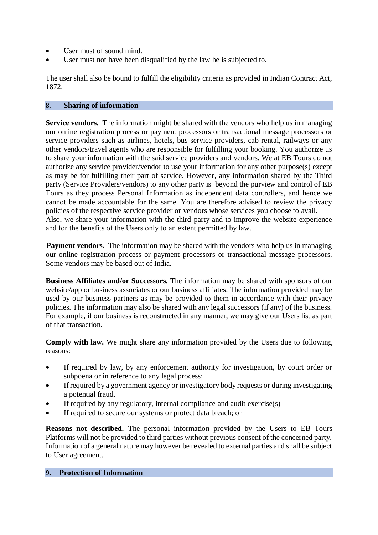- User must of sound mind.
- User must not have been disqualified by the law he is subjected to.

The user shall also be bound to fulfill the eligibility criteria as provided in Indian Contract Act, 1872.

# **8. Sharing of information**

**Service vendors.** The information might be shared with the vendors who help us in managing our online registration process or payment processors or transactional message processors or service providers such as airlines, hotels, bus service providers, cab rental, railways or any other vendors/travel agents who are responsible for fulfilling your booking. You authorize us to share your information with the said service providers and vendors. We at EB Tours do not authorize any service provider/vendor to use your information for any other purpose(s) except as may be for fulfilling their part of service. However, any information shared by the Third party (Service Providers/vendors) to any other party is beyond the purview and control of EB Tours as they process Personal Information as independent data controllers, and hence we cannot be made accountable for the same. You are therefore advised to review the privacy policies of the respective service provider or vendors whose services you choose to avail. Also, we share your information with the third party and to improve the website experience and for the benefits of the Users only to an extent permitted by law.

**Payment vendors.** The information may be shared with the vendors who help us in managing our online registration process or payment processors or transactional message processors. Some vendors may be based out of India.

**Business Affiliates and/or Successors.** The information may be shared with sponsors of our website/app or business associates or our business affiliates. The information provided may be used by our business partners as may be provided to them in accordance with their privacy policies. The information may also be shared with any legal successors (if any) of the business. For example, if our business is reconstructed in any manner, we may give our Users list as part of that transaction.

**Comply with law.** We might share any information provided by the Users due to following reasons:

- If required by law, by any enforcement authority for investigation, by court order or subpoena or in reference to any legal process;
- If required by a government agency or investigatory body requests or during investigating a potential fraud.
- If required by any regulatory, internal compliance and audit exercise(s)
- If required to secure our systems or protect data breach; or

**Reasons not described.** The personal information provided by the Users to EB Tours Platforms will not be provided to third parties without previous consent of the concerned party. Information of a general nature may however be revealed to external parties and shall be subject to User agreement.

# **9. Protection of Information**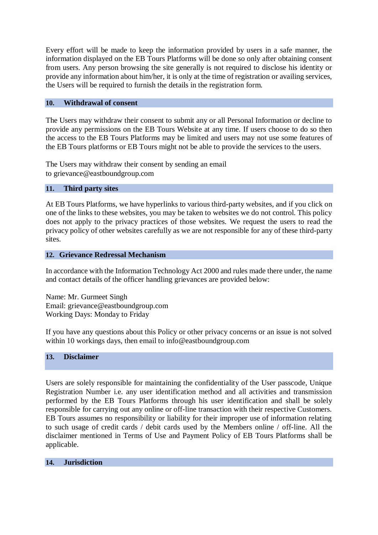Every effort will be made to keep the information provided by users in a safe manner, the information displayed on the EB Tours Platforms will be done so only after obtaining consent from users. Any person browsing the site generally is not required to disclose his identity or provide any information about him/her, it is only at the time of registration or availing services, the Users will be required to furnish the details in the registration form.

## **10. Withdrawal of consent**

The Users may withdraw their consent to submit any or all Personal Information or decline to provide any permissions on the EB Tours Website at any time. If users choose to do so then the access to the EB Tours Platforms may be limited and users may not use some features of the EB Tours platforms or EB Tours might not be able to provide the services to the users.

The Users may withdraw their consent by sending an email to [grievance@e](mailto:grievance@2hub.travel)astboundgroup.com

## **11. Third party sites**

At EB Tours Platforms, we have hyperlinks to various third-party websites, and if you click on one of the links to these websites, you may be taken to websites we do not control. This policy does not apply to the privacy practices of those websites. We request the users to read the privacy policy of other websites carefully as we are not responsible for any of these third-party sites.

#### **12. Grievance Redressal Mechanism**

In accordance with the Information Technology Act 2000 and rules made there under, the name and contact details of the officer handling grievances are provided below:

Name: Mr. Gurmeet Singh Email: [grievance@e](mailto:grievance@2hub.travel)astboundgroup.com Working Days: Monday to Friday

If you have any questions about this Policy or other privacy concerns or an issue is not solved within 10 workings days, then email to [info@e](mailto:info@2hub.travel)astboundgroup.com

#### **13. Disclaimer**

Users are solely responsible for maintaining the confidentiality of the User passcode, Unique Registration Number i.e. any user identification method and all activities and transmission performed by the EB Tours Platforms through his user identification and shall be solely responsible for carrying out any online or off-line transaction with their respective Customers. EB Tours assumes no responsibility or liability for their improper use of information relating to such usage of credit cards / debit cards used by the Members online / off-line. All the disclaimer mentioned in Terms of Use and Payment Policy of EB Tours Platforms shall be applicable.

# **14. Jurisdiction**